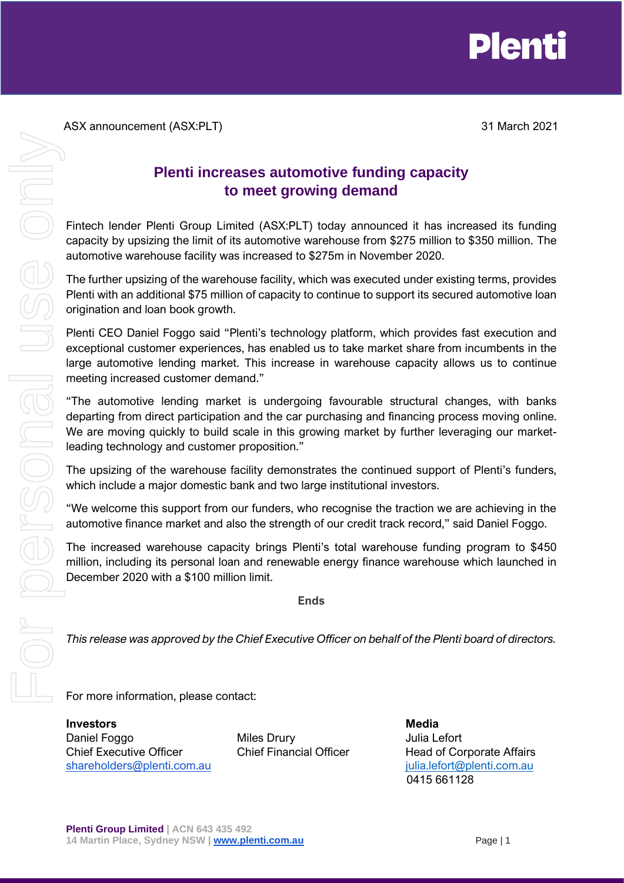

ASX announcement (ASX:PLT) 31 March 2021

## **Plenti increases automotive funding capacity to meet growing demand**

Fintech lender Plenti Group Limited (ASX:PLT) today announced it has increased its funding capacity by upsizing the limit of its automotive warehouse from \$275 million to \$350 million. The automotive warehouse facility was increased to \$275m in November 2020.

The further upsizing of the warehouse facility, which was executed under existing terms, provides Plenti with an additional \$75 million of capacity to continue to support its secured automotive loan origination and loan book growth.

Plenti CEO Daniel Foggo said "Plenti's technology platform, which provides fast execution and exceptional customer experiences, has enabled us to take market share from incumbents in the large automotive lending market. This increase in warehouse capacity allows us to continue meeting increased customer demand."

"The automotive lending market is undergoing favourable structural changes, with banks departing from direct participation and the car purchasing and financing process moving online. We are moving quickly to build scale in this growing market by further leveraging our marketleading technology and customer proposition."

The upsizing of the warehouse facility demonstrates the continued support of Plenti's funders, which include a major domestic bank and two large institutional investors.

"We welcome this support from our funders, who recognise the traction we are achieving in the automotive finance market and also the strength of our credit track record," said Daniel Foggo.

The increased warehouse capacity brings Plenti's total warehouse funding program to \$450 million, including its personal loan and renewable energy finance warehouse which launched in December 2020 with a \$100 million limit.

**Ends**

*This release was approved by the Chief Executive Officer on behalf of the Plenti board of directors.*

For more information, please contact:

**Investors Media** Daniel Foggo **Miles Drury** Miles Drury **Miles Drury** Julia Lefort Chief Executive Officer Chief Financial Officer Head of Corporate Affairs [shareholders@plenti.com.au](mailto:shareholders@plenti.com.au) istandaria in the shareholders@plenti.com.au istandaria in the shareholders and the shareholders and the shareholders are in the shareholders and the shareholders are in the shareholders are in t

0415 661128